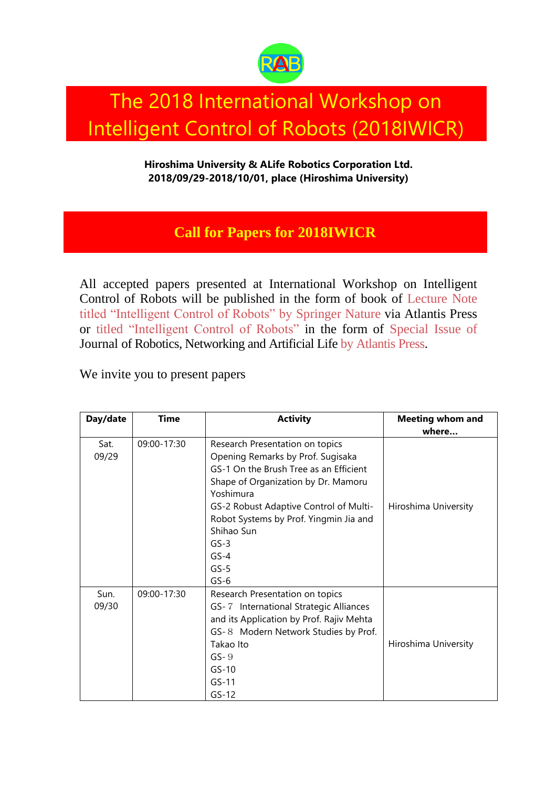

## The 2018 International Workshop on Intelligent Control of Robots (2018IWICR)

**Hiroshima University & ALife Robotics Corporation Ltd. 2018/09/29-2018/10/01, place (Hiroshima University)**

## **Call for Papers for 2018IWICR**

All accepted papers presented at International Workshop on Intelligent Control of Robots will be published in the form of book of Lecture Note titled "Intelligent Control of Robots" by Springer Nature via Atlantis Press or titled "Intelligent Control of Robots" in the form of Special Issue of Journal of Robotics, Networking and Artificial Life by Atlantis Press.

We invite you to present papers

| Day/date      | <b>Time</b> | <b>Activity</b>                                                                                                                                                                                                                                                                                              | <b>Meeting whom and</b> |
|---------------|-------------|--------------------------------------------------------------------------------------------------------------------------------------------------------------------------------------------------------------------------------------------------------------------------------------------------------------|-------------------------|
|               |             |                                                                                                                                                                                                                                                                                                              | where                   |
| Sat.<br>09/29 | 09:00-17:30 | Research Presentation on topics<br>Opening Remarks by Prof. Sugisaka<br>GS-1 On the Brush Tree as an Efficient<br>Shape of Organization by Dr. Mamoru<br>Yoshimura<br>GS-2 Robust Adaptive Control of Multi-<br>Robot Systems by Prof. Yingmin Jia and<br>Shihao Sun<br>$GS-3$<br>$GS-4$<br>$GS-5$<br>$GS-6$ | Hiroshima University    |
| Sun.<br>09/30 | 09:00-17:30 | Research Presentation on topics<br>GS-7 International Strategic Alliances<br>and its Application by Prof. Rajiv Mehta<br>GS-8 Modern Network Studies by Prof.<br>Takao Ito<br>$GS-9$<br>$GS-10$<br>$GS-11$<br>$GS-12$                                                                                        | Hiroshima University    |